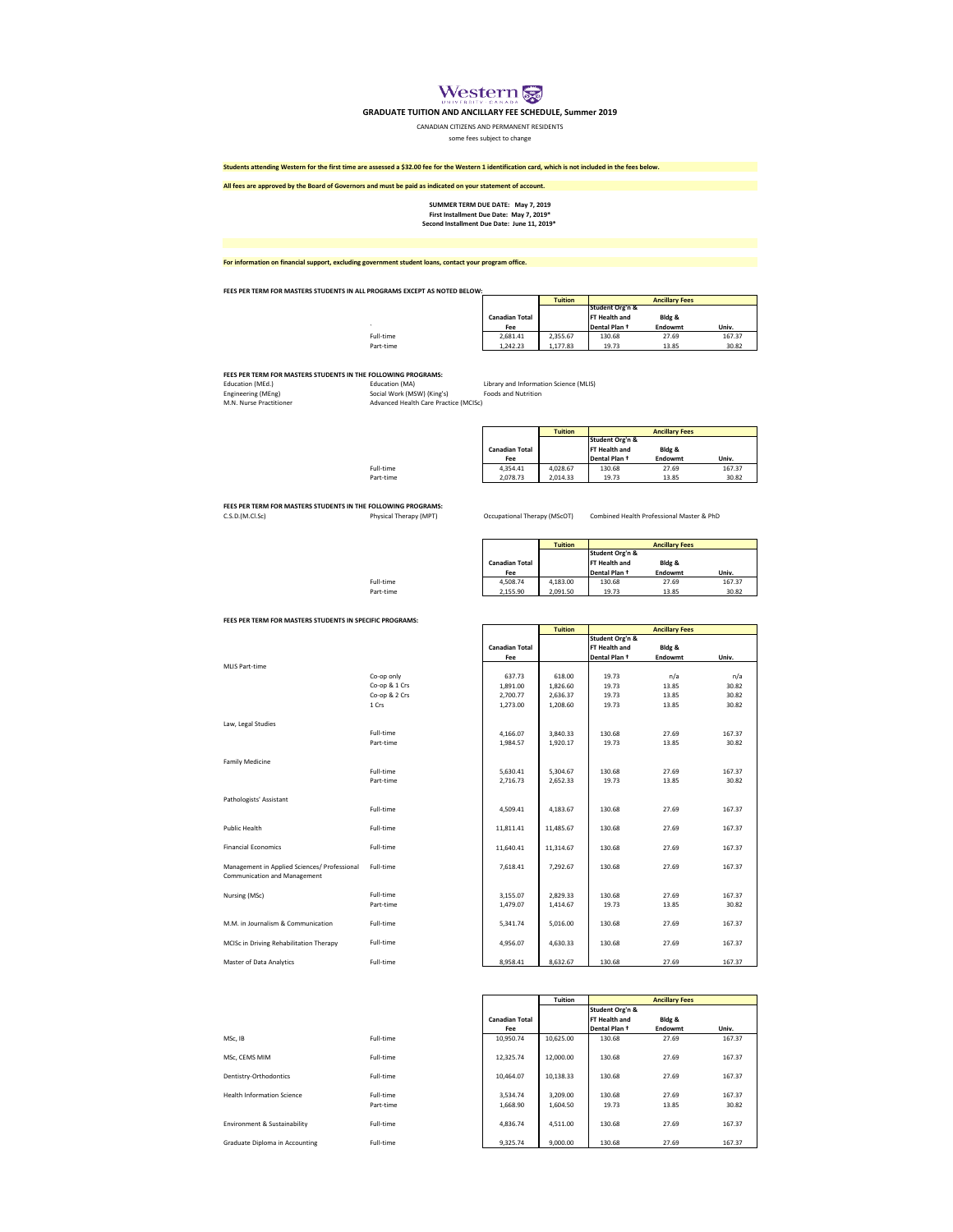

## **GRADUATE TUITION AND ANCILLARY FEE SCHEDULE, Summer 2019**

CANADIAN CITIZENS AND PERMANENT RESIDENTS

some fees subject to change

## **Students attending Western for the first time are assessed a \$32.00 fee for the Western 1 identification card, which is not included in the fees below.**

**All fees are approved by the Board of Governors and must be paid as indicated on your statement of account.**

**First Installment Due Date: May 7, 2019\* Second Installment Due Date: June 11, 2019\* SUMMER TERM DUE DATE: May 7, 2019**

**For information on financial support, excluding government student loans, contact your program office.**

Full-time

**FEES PER TERM FOR MASTERS STUDENTS IN ALL PROGRAMS EXCEPT AS NOTED BELOW:**

|           |                       | <b>Tuition</b> | <b>Ancillary Fees</b> |         |        |  |
|-----------|-----------------------|----------------|-----------------------|---------|--------|--|
|           |                       |                | Student Org'n &       |         |        |  |
|           | <b>Canadian Total</b> |                | <b>FT Health and</b>  | Bldg &  |        |  |
|           | Fee                   |                | Dental Plan +         | Endowmt | Univ.  |  |
| Full-time | 2.681.41              | 2.355.67       | 130.68                | 27.69   | 167.37 |  |
| Part-time | 1.242.23              | 1.177.83       | 19.73                 | 13.85   | 30.82  |  |

**FEES PER TERM FOR MASTERS STUDENTS IN THE FOLLOWING PROGRAMS:**<br>Education (MEd.) **Education (MA)** 

Engineering (MEng) Social Work (MSW) (King's) Foods and Nutrition Advanced Health Care Practice (MCISc) Education (MEd.)<br>Education (MEd.)<br>Engineering (MEng)<br>M.N. Nurse Practitioner

Library and Information Science (MLIS)<br>Foods and Nutrition

|           |                       | <b>Tuition</b> | <b>Ancillary Fees</b> |         |        |  |
|-----------|-----------------------|----------------|-----------------------|---------|--------|--|
|           |                       |                | Student Org'n &       |         |        |  |
|           | <b>Canadian Total</b> |                | FT Health and         | Bldg &  |        |  |
|           | Fee                   |                | Dental Plan +         | Endowmt | Univ.  |  |
| Full-time | 4.354.41              | 4.028.67       | 130.68                | 27.69   | 167.37 |  |
| Part-time | 2.078.73              | 2.014.33       | 19.73                 | 13.85   | 30.82  |  |

**FEES PER TERM FOR MASTERS STUDENTS IN THE FOLLOWING PROGRAMS:**<br>C.S.D.(M.Cl.Sc) Physical Therapy (MPT) Occupational Therapy (MScOT) Combined Health Professional Master & PhD

|           |                       | <b>Tuition</b> |                 | <b>Ancillary Fees</b> |        |
|-----------|-----------------------|----------------|-----------------|-----------------------|--------|
|           |                       |                | Student Org'n & |                       |        |
|           | <b>Canadian Total</b> |                | FT Health and   | Bldg &                |        |
|           | Fee                   |                | Dental Plan +   | Endowmt               | Univ.  |
| Full-time | 4.508.74              | 4.183.00       | 130.68          | 27.69                 | 167.37 |
| Part-time | 2.155.90              | 2.091.50       | 19.73           | 13.85                 | 30.82  |

**FEES PER TERM FOR MASTERS STUDENTS IN SPECIFIC PROGRAMS:**

| MLIS Part-time                                                               |                                                       |
|------------------------------------------------------------------------------|-------------------------------------------------------|
|                                                                              | Co-op only<br>Co-op & 1 Crs<br>Co-op & 2 Crs<br>1 Crs |
| Law, Legal Studies                                                           | Full-time                                             |
|                                                                              | Part-time                                             |
| <b>Family Medicine</b>                                                       |                                                       |
|                                                                              | Full-time<br>Part-time                                |
| Pathologists' Assistant                                                      | Full-time                                             |
|                                                                              |                                                       |
| <b>Public Health</b>                                                         | Full-time                                             |
| <b>Financial Economics</b>                                                   | Full-time                                             |
| Management in Applied Sciences/ Professional<br>Communication and Management | Full-time                                             |
| Nursing (MSc)                                                                | Full-time                                             |
|                                                                              | Part-time                                             |
| M.M. in Journalism & Communication                                           | Full-time                                             |
| MCISc in Driving Rehabilitation Therapy                                      | Full-time                                             |
| Master of Data Analytics                                                     | Full-time                                             |

| r ch Tenni i On Inistrato di Obeni din di celli ici noghishid.               |               |                       |                |                 |                       |        |
|------------------------------------------------------------------------------|---------------|-----------------------|----------------|-----------------|-----------------------|--------|
|                                                                              |               |                       | <b>Tuition</b> |                 | <b>Ancillary Fees</b> |        |
|                                                                              |               |                       |                | Student Org'n & |                       |        |
|                                                                              |               | <b>Canadian Total</b> |                | FT Health and   | Bldg &                |        |
|                                                                              |               | Fee                   |                | Dental Plan +   | Endowmt               | Univ.  |
| <b>MLIS Part-time</b>                                                        |               |                       |                |                 |                       |        |
|                                                                              | Co-op only    | 637.73                | 618.00         | 19.73           | n/a                   | n/a    |
|                                                                              | Co-op & 1 Crs | 1,891.00              | 1,826.60       | 19.73           | 13.85                 | 30.82  |
|                                                                              | Co-op & 2 Crs | 2,700.77              | 2,636.37       | 19.73           | 13.85                 | 30.82  |
|                                                                              | 1 Crs         | 1,273.00              | 1,208.60       | 19.73           | 13.85                 | 30.82  |
| Law, Legal Studies                                                           |               |                       |                |                 |                       |        |
|                                                                              | Full-time     | 4.166.07              | 3,840.33       | 130.68          | 27.69                 | 167.37 |
|                                                                              | Part-time     | 1,984.57              | 1,920.17       | 19.73           | 13.85                 | 30.82  |
| <b>Family Medicine</b>                                                       |               |                       |                |                 |                       |        |
|                                                                              | Full-time     | 5,630.41              | 5,304.67       | 130.68          | 27.69                 | 167.37 |
|                                                                              | Part-time     | 2,716.73              | 2,652.33       | 19.73           | 13.85                 | 30.82  |
| Pathologists' Assistant                                                      |               |                       |                |                 |                       |        |
|                                                                              | Full-time     | 4,509.41              | 4,183.67       | 130.68          | 27.69                 | 167.37 |
| <b>Public Health</b>                                                         | Full-time     | 11,811.41             | 11,485.67      | 130.68          | 27.69                 | 167.37 |
| <b>Financial Economics</b>                                                   | Full-time     | 11,640.41             | 11,314.67      | 130.68          | 27.69                 | 167.37 |
| Management in Applied Sciences/ Professional<br>Communication and Management | Full-time     | 7,618.41              | 7,292.67       | 130.68          | 27.69                 | 167.37 |
| Nursing (MSc)                                                                | Full-time     | 3,155.07              | 2,829.33       | 130.68          | 27.69                 | 167.37 |
|                                                                              | Part-time     | 1,479.07              | 1,414.67       | 19.73           | 13.85                 | 30.82  |
| M.M. in Journalism & Communication                                           | Full-time     | 5.341.74              | 5,016.00       | 130.68          | 27.69                 | 167.37 |
| MCISc in Driving Rehabilitation Therapy                                      | Full-time     | 4,956.07              | 4,630.33       | 130.68          | 27.69                 | 167.37 |
| Master of Data Analytics                                                     | Full-time     | 8,958.41              | 8,632.67       | 130.68          | 27.69                 | 167.37 |

|                                   |           |                       | <b>Tuition</b> |                 | <b>Ancillary Fees</b> |        |
|-----------------------------------|-----------|-----------------------|----------------|-----------------|-----------------------|--------|
|                                   |           |                       |                | Student Org'n & |                       |        |
|                                   |           | <b>Canadian Total</b> |                | FT Health and   | Bldg &                |        |
|                                   |           | Fee                   |                | Dental Plan +   | Endowmt               | Univ.  |
| MSc. IB                           | Full-time | 10.950.74             | 10.625.00      | 130.68          | 27.69                 | 167.37 |
|                                   |           |                       |                |                 |                       |        |
| MSc. CEMS MIM                     | Full-time | 12.325.74             | 12,000.00      | 130.68          | 27.69                 | 167.37 |
|                                   |           |                       |                |                 |                       |        |
| Dentistry-Orthodontics            | Full-time | 10.464.07             | 10.138.33      | 130.68          | 27.69                 | 167.37 |
|                                   |           |                       |                |                 |                       |        |
| <b>Health Information Science</b> | Full-time | 3.534.74              | 3.209.00       | 130.68          | 27.69                 | 167.37 |
|                                   | Part-time | 1.668.90              | 1,604.50       | 19.73           | 13.85                 | 30.82  |
|                                   |           |                       |                |                 |                       |        |
| Environment & Sustainability      | Full-time | 4.836.74              | 4.511.00       | 130.68          | 27.69                 | 167.37 |
|                                   |           |                       |                |                 |                       |        |
| Graduate Diploma in Accounting    | Full-time | 9.325.74              | 9.000.00       | 130.68          | 27.69                 | 167.37 |